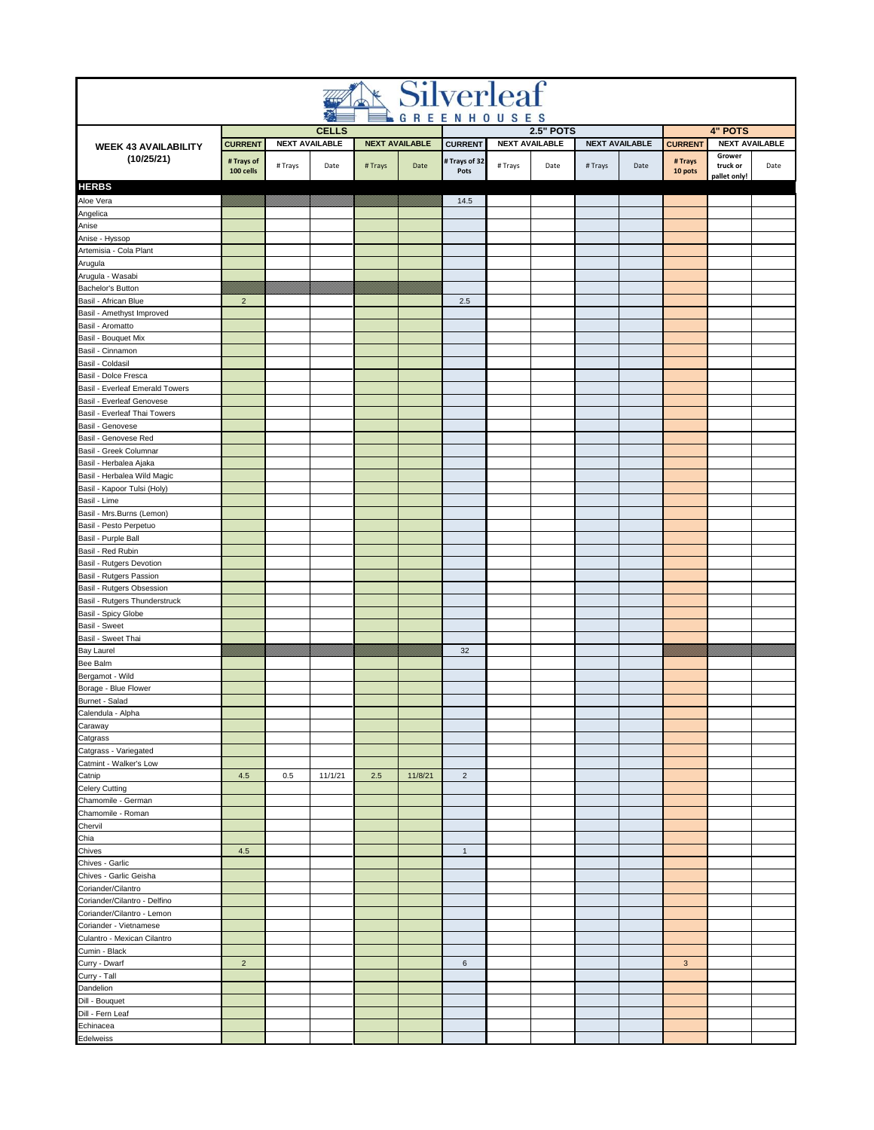| <b>Silverleaf</b>                                            |                         |         |                                       |                       |         |                       |                                           |      |                       |      |                                  |                                    |                       |  |
|--------------------------------------------------------------|-------------------------|---------|---------------------------------------|-----------------------|---------|-----------------------|-------------------------------------------|------|-----------------------|------|----------------------------------|------------------------------------|-----------------------|--|
|                                                              |                         |         |                                       |                       |         |                       | GREENHOUSES                               |      |                       |      |                                  |                                    |                       |  |
|                                                              | <b>CURRENT</b>          |         | <b>CELLS</b><br><b>NEXT AVAILABLE</b> | <b>NEXT AVAILABLE</b> |         | <b>CURRENT</b>        | <b>2.5" POTS</b><br><b>NEXT AVAILABLE</b> |      | <b>NEXT AVAILABLE</b> |      | <b>4" POTS</b><br><b>CURRENT</b> |                                    | <b>NEXT AVAILABLE</b> |  |
| <b>WEEK 43 AVAILABILITY</b><br>(10/25/21)                    | # Trays of<br>100 cells | # Trays | Date                                  | # Trays               | Date    | # Trays of 32<br>Pots | # Trays                                   | Date | # Trays               | Date | # Trays<br>10 pots               | Grower<br>truck or<br>pallet only! | Date                  |  |
| <b>HERBS</b>                                                 |                         |         |                                       |                       |         |                       |                                           |      |                       |      |                                  |                                    |                       |  |
| Aloe Vera                                                    |                         |         |                                       |                       |         | 14.5                  |                                           |      |                       |      |                                  |                                    |                       |  |
| Angelica                                                     |                         |         |                                       |                       |         |                       |                                           |      |                       |      |                                  |                                    |                       |  |
| Anise<br>Anise - Hyssop                                      |                         |         |                                       |                       |         |                       |                                           |      |                       |      |                                  |                                    |                       |  |
| Artemisia - Cola Plant                                       |                         |         |                                       |                       |         |                       |                                           |      |                       |      |                                  |                                    |                       |  |
| Arugula                                                      |                         |         |                                       |                       |         |                       |                                           |      |                       |      |                                  |                                    |                       |  |
| Arugula - Wasabi                                             |                         |         |                                       |                       |         |                       |                                           |      |                       |      |                                  |                                    |                       |  |
| Bachelor's Button                                            |                         |         |                                       |                       |         |                       |                                           |      |                       |      |                                  |                                    |                       |  |
| Basil - African Blue                                         | $\overline{2}$          |         |                                       |                       |         | 2.5                   |                                           |      |                       |      |                                  |                                    |                       |  |
| Basil - Amethyst Improved<br>Basil - Aromatto                |                         |         |                                       |                       |         |                       |                                           |      |                       |      |                                  |                                    |                       |  |
| Basil - Bouquet Mix                                          |                         |         |                                       |                       |         |                       |                                           |      |                       |      |                                  |                                    |                       |  |
| Basil - Cinnamon                                             |                         |         |                                       |                       |         |                       |                                           |      |                       |      |                                  |                                    |                       |  |
| Basil - Coldasil                                             |                         |         |                                       |                       |         |                       |                                           |      |                       |      |                                  |                                    |                       |  |
| Basil - Dolce Fresca                                         |                         |         |                                       |                       |         |                       |                                           |      |                       |      |                                  |                                    |                       |  |
| Basil - Everleaf Emerald Towers<br>Basil - Everleaf Genovese |                         |         |                                       |                       |         |                       |                                           |      |                       |      |                                  |                                    |                       |  |
| Basil - Everleaf Thai Towers                                 |                         |         |                                       |                       |         |                       |                                           |      |                       |      |                                  |                                    |                       |  |
| Basil - Genovese                                             |                         |         |                                       |                       |         |                       |                                           |      |                       |      |                                  |                                    |                       |  |
| Basil - Genovese Red                                         |                         |         |                                       |                       |         |                       |                                           |      |                       |      |                                  |                                    |                       |  |
| Basil - Greek Columnar                                       |                         |         |                                       |                       |         |                       |                                           |      |                       |      |                                  |                                    |                       |  |
| Basil - Herbalea Ajaka                                       |                         |         |                                       |                       |         |                       |                                           |      |                       |      |                                  |                                    |                       |  |
| Basil - Herbalea Wild Magic                                  |                         |         |                                       |                       |         |                       |                                           |      |                       |      |                                  |                                    |                       |  |
| Basil - Kapoor Tulsi (Holy)<br>Basil - Lime                  |                         |         |                                       |                       |         |                       |                                           |      |                       |      |                                  |                                    |                       |  |
| Basil - Mrs.Burns (Lemon)                                    |                         |         |                                       |                       |         |                       |                                           |      |                       |      |                                  |                                    |                       |  |
| Basil - Pesto Perpetuo                                       |                         |         |                                       |                       |         |                       |                                           |      |                       |      |                                  |                                    |                       |  |
| Basil - Purple Ball                                          |                         |         |                                       |                       |         |                       |                                           |      |                       |      |                                  |                                    |                       |  |
| Basil - Red Rubin                                            |                         |         |                                       |                       |         |                       |                                           |      |                       |      |                                  |                                    |                       |  |
| Basil - Rutgers Devotion                                     |                         |         |                                       |                       |         |                       |                                           |      |                       |      |                                  |                                    |                       |  |
| Basil - Rutgers Passion<br>Basil - Rutgers Obsession         |                         |         |                                       |                       |         |                       |                                           |      |                       |      |                                  |                                    |                       |  |
| Basil - Rutgers Thunderstruck                                |                         |         |                                       |                       |         |                       |                                           |      |                       |      |                                  |                                    |                       |  |
| Basil - Spicy Globe                                          |                         |         |                                       |                       |         |                       |                                           |      |                       |      |                                  |                                    |                       |  |
| <b>Basil - Sweet</b>                                         |                         |         |                                       |                       |         |                       |                                           |      |                       |      |                                  |                                    |                       |  |
| Basil - Sweet Thai                                           |                         |         |                                       |                       |         |                       |                                           |      |                       |      |                                  |                                    |                       |  |
| <b>Bay Laurel</b><br>Bee Balm                                |                         |         |                                       |                       |         | 32                    |                                           |      |                       |      |                                  |                                    |                       |  |
| Bergamot - Wild                                              |                         |         |                                       |                       |         |                       |                                           |      |                       |      |                                  |                                    |                       |  |
| Borage - Blue Flower                                         |                         |         |                                       |                       |         |                       |                                           |      |                       |      |                                  |                                    |                       |  |
| Burnet - Salad                                               |                         |         |                                       |                       |         |                       |                                           |      |                       |      |                                  |                                    |                       |  |
| Calendula - Alpha                                            |                         |         |                                       |                       |         |                       |                                           |      |                       |      |                                  |                                    |                       |  |
| Caraway                                                      |                         |         |                                       |                       |         |                       |                                           |      |                       |      |                                  |                                    |                       |  |
| Catgrass                                                     |                         |         |                                       |                       |         |                       |                                           |      |                       |      |                                  |                                    |                       |  |
| Catgrass - Variegated<br>Catmint - Walker's Low              |                         |         |                                       |                       |         |                       |                                           |      |                       |      |                                  |                                    |                       |  |
| Catnip                                                       | 4.5                     | 0.5     | 11/1/21                               | 2.5                   | 11/8/21 | $\overline{2}$        |                                           |      |                       |      |                                  |                                    |                       |  |
| Celery Cutting                                               |                         |         |                                       |                       |         |                       |                                           |      |                       |      |                                  |                                    |                       |  |
| Chamomile - German                                           |                         |         |                                       |                       |         |                       |                                           |      |                       |      |                                  |                                    |                       |  |
| Chamomile - Roman                                            |                         |         |                                       |                       |         |                       |                                           |      |                       |      |                                  |                                    |                       |  |
| Chervil<br>Chia                                              |                         |         |                                       |                       |         |                       |                                           |      |                       |      |                                  |                                    |                       |  |
| Chives                                                       | 4.5                     |         |                                       |                       |         | $\mathbf{1}$          |                                           |      |                       |      |                                  |                                    |                       |  |
| Chives - Garlic                                              |                         |         |                                       |                       |         |                       |                                           |      |                       |      |                                  |                                    |                       |  |
| Chives - Garlic Geisha                                       |                         |         |                                       |                       |         |                       |                                           |      |                       |      |                                  |                                    |                       |  |
| Coriander/Cilantro                                           |                         |         |                                       |                       |         |                       |                                           |      |                       |      |                                  |                                    |                       |  |
| Coriander/Cilantro - Delfino                                 |                         |         |                                       |                       |         |                       |                                           |      |                       |      |                                  |                                    |                       |  |
| Coriander/Cilantro - Lemon<br>Coriander - Vietnamese         |                         |         |                                       |                       |         |                       |                                           |      |                       |      |                                  |                                    |                       |  |
| Culantro - Mexican Cilantro                                  |                         |         |                                       |                       |         |                       |                                           |      |                       |      |                                  |                                    |                       |  |
| Cumin - Black                                                |                         |         |                                       |                       |         |                       |                                           |      |                       |      |                                  |                                    |                       |  |
| Curry - Dwarf                                                | $\overline{c}$          |         |                                       |                       |         | 6                     |                                           |      |                       |      | 3                                |                                    |                       |  |
| Curry - Tall                                                 |                         |         |                                       |                       |         |                       |                                           |      |                       |      |                                  |                                    |                       |  |
| Dandelion                                                    |                         |         |                                       |                       |         |                       |                                           |      |                       |      |                                  |                                    |                       |  |
| Dill - Bouquet<br>Dill - Fern Leaf                           |                         |         |                                       |                       |         |                       |                                           |      |                       |      |                                  |                                    |                       |  |
| Echinacea                                                    |                         |         |                                       |                       |         |                       |                                           |      |                       |      |                                  |                                    |                       |  |
| Edelweiss                                                    |                         |         |                                       |                       |         |                       |                                           |      |                       |      |                                  |                                    |                       |  |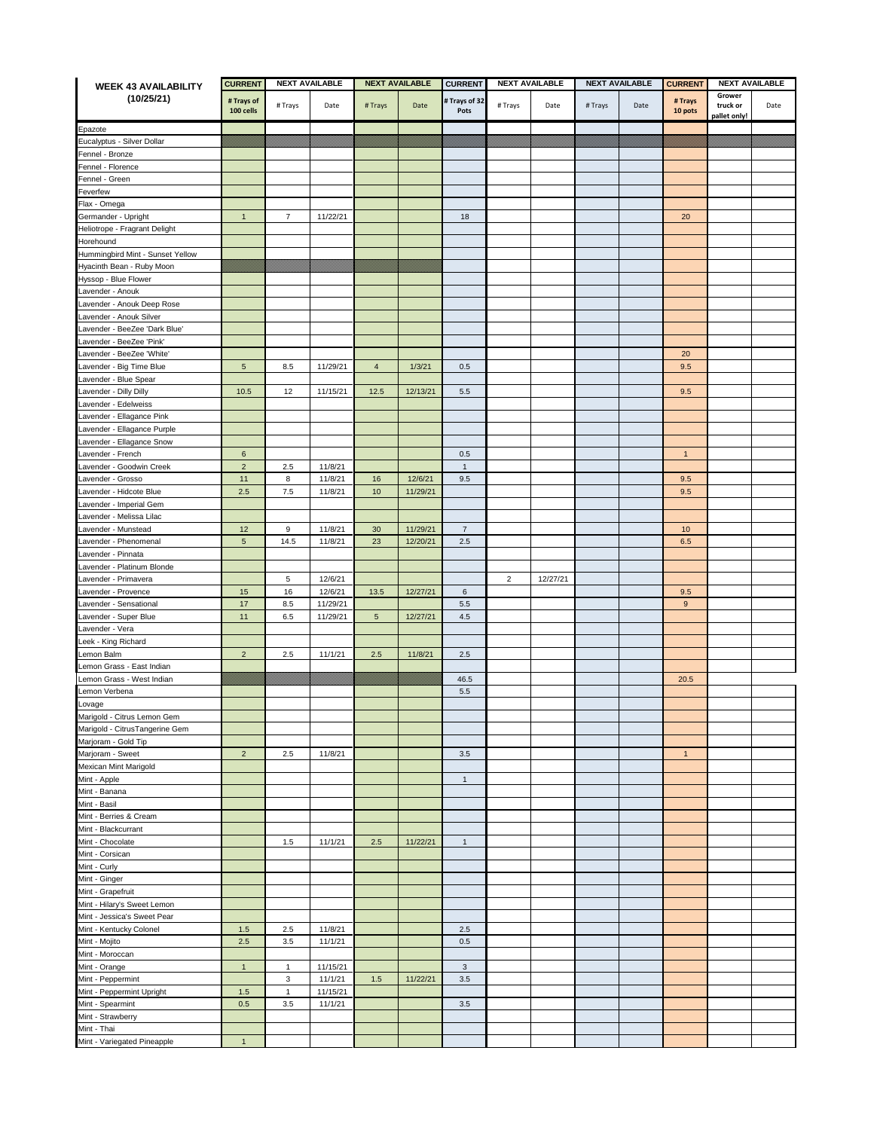| <b>WEEK 43 AVAILABILITY</b>                   | <b>CURRENT</b>          | <b>NEXT AVAILABLE</b> |          | <b>NEXT AVAILABLE</b> |          | <b>CURRENT</b>        | <b>NEXT AVAILABLE</b> |          | <b>NEXT AVAILABLE</b> |      | <b>CURRENT</b><br><b>NEXT AVAILABLE</b> |                    |      |
|-----------------------------------------------|-------------------------|-----------------------|----------|-----------------------|----------|-----------------------|-----------------------|----------|-----------------------|------|-----------------------------------------|--------------------|------|
| (10/25/21)                                    | # Trays of<br>100 cells | # Trays               | Date     | # Trays               | Date     | # Trays of 32<br>Pots | # Trays               | Date     | # Trays               | Date | # Trays<br>10 pots                      | Grower<br>truck or | Date |
|                                               |                         |                       |          |                       |          |                       |                       |          |                       |      |                                         | pallet only!       |      |
| Epazote                                       |                         |                       |          |                       |          |                       |                       |          |                       |      |                                         |                    |      |
| Eucalyptus - Silver Dollar<br>Fennel - Bronze |                         |                       |          |                       |          |                       |                       |          |                       |      |                                         |                    |      |
| Fennel - Florence                             |                         |                       |          |                       |          |                       |                       |          |                       |      |                                         |                    |      |
| Fennel - Green                                |                         |                       |          |                       |          |                       |                       |          |                       |      |                                         |                    |      |
| Feverfew                                      |                         |                       |          |                       |          |                       |                       |          |                       |      |                                         |                    |      |
| Flax - Omega                                  |                         |                       |          |                       |          |                       |                       |          |                       |      |                                         |                    |      |
| Germander - Upright                           | $\mathbf{1}$            | 7                     | 11/22/21 |                       |          | 18                    |                       |          |                       |      | 20                                      |                    |      |
| Heliotrope - Fragrant Delight                 |                         |                       |          |                       |          |                       |                       |          |                       |      |                                         |                    |      |
| Horehound                                     |                         |                       |          |                       |          |                       |                       |          |                       |      |                                         |                    |      |
| Hummingbird Mint - Sunset Yellow              |                         |                       |          |                       |          |                       |                       |          |                       |      |                                         |                    |      |
| Hyacinth Bean - Ruby Moon                     |                         |                       |          |                       |          |                       |                       |          |                       |      |                                         |                    |      |
| Hyssop - Blue Flower                          |                         |                       |          |                       |          |                       |                       |          |                       |      |                                         |                    |      |
| Lavender - Anouk                              |                         |                       |          |                       |          |                       |                       |          |                       |      |                                         |                    |      |
| avender - Anouk Deep Rose                     |                         |                       |          |                       |          |                       |                       |          |                       |      |                                         |                    |      |
| Lavender - Anouk Silver                       |                         |                       |          |                       |          |                       |                       |          |                       |      |                                         |                    |      |
| avender - BeeZee 'Dark Blue'                  |                         |                       |          |                       |          |                       |                       |          |                       |      |                                         |                    |      |
| _avender - BeeZee 'Pink'                      |                         |                       |          |                       |          |                       |                       |          |                       |      |                                         |                    |      |
| _avender - BeeZee 'White'                     |                         |                       |          |                       |          |                       |                       |          |                       |      | 20                                      |                    |      |
| avender - Big Time Blue                       | $\sqrt{5}$              | 8.5                   | 11/29/21 | $\overline{4}$        | 1/3/21   | 0.5                   |                       |          |                       |      | 9.5                                     |                    |      |
| avender - Blue Spear                          |                         |                       |          |                       |          |                       |                       |          |                       |      |                                         |                    |      |
| avender - Dilly Dilly                         | 10.5                    | 12                    | 11/15/21 | 12.5                  | 12/13/21 | 5.5                   |                       |          |                       |      | 9.5                                     |                    |      |
| avender - Edelweiss                           |                         |                       |          |                       |          |                       |                       |          |                       |      |                                         |                    |      |
| avender - Ellagance Pink                      |                         |                       |          |                       |          |                       |                       |          |                       |      |                                         |                    |      |
| Lavender - Ellagance Purple                   |                         |                       |          |                       |          |                       |                       |          |                       |      |                                         |                    |      |
| Lavender - Ellagance Snow                     |                         |                       |          |                       |          |                       |                       |          |                       |      |                                         |                    |      |
| Lavender - French                             | 6                       |                       |          |                       |          | 0.5                   |                       |          |                       |      | $\mathbf{1}$                            |                    |      |
| avender - Goodwin Creek                       | $\overline{2}$          | 2.5                   | 11/8/21  |                       |          | $\mathbf{1}$          |                       |          |                       |      |                                         |                    |      |
| Lavender - Grosso                             | 11                      | 8                     | 11/8/21  | 16                    | 12/6/21  | 9.5                   |                       |          |                       |      | 9.5                                     |                    |      |
| avender - Hidcote Blue                        | 2.5                     | 7.5                   | 11/8/21  | 10                    | 11/29/21 |                       |                       |          |                       |      | 9.5                                     |                    |      |
| avender - Imperial Gem                        |                         |                       |          |                       |          |                       |                       |          |                       |      |                                         |                    |      |
| avender - Melissa Lilac                       |                         |                       |          |                       |          |                       |                       |          |                       |      |                                         |                    |      |
| _avender - Munstead                           | 12                      | 9                     | 11/8/21  | 30                    | 11/29/21 | $\overline{7}$        |                       |          |                       |      | 10                                      |                    |      |
| avender - Phenomenal                          | $\sqrt{5}$              | 14.5                  | 11/8/21  | 23                    | 12/20/21 | $2.5\,$               |                       |          |                       |      | 6.5                                     |                    |      |
| avender - Pinnata                             |                         |                       |          |                       |          |                       |                       |          |                       |      |                                         |                    |      |
| avender - Platinum Blonde                     |                         |                       |          |                       |          |                       |                       |          |                       |      |                                         |                    |      |
|                                               |                         | 5                     |          |                       |          |                       | $\overline{2}$        |          |                       |      |                                         |                    |      |
| avender - Primavera                           |                         |                       | 12/6/21  |                       |          |                       |                       | 12/27/21 |                       |      |                                         |                    |      |
| Lavender - Provence                           | 15                      | 16                    | 12/6/21  | 13.5                  | 12/27/21 | 6                     |                       |          |                       |      | 9.5                                     |                    |      |
| Lavender - Sensational                        | 17                      | 8.5<br>6.5            | 11/29/21 |                       |          | $5.5\,$               |                       |          |                       |      | 9                                       |                    |      |
| _avender - Super Blue                         | 11                      |                       | 11/29/21 | $5\phantom{.0}$       | 12/27/21 | $4.5\,$               |                       |          |                       |      |                                         |                    |      |
| _avender - Vera                               |                         |                       |          |                       |          |                       |                       |          |                       |      |                                         |                    |      |
| eek - King Richard                            |                         |                       |          |                       |          |                       |                       |          |                       |      |                                         |                    |      |
| emon Balm                                     | $\overline{2}$          | 2.5                   | 11/1/21  | $2.5\,$               | 11/8/21  | $2.5\,$               |                       |          |                       |      |                                         |                    |      |
| emon Grass - East Indian                      |                         |                       |          |                       |          |                       |                       |          |                       |      |                                         |                    |      |
| Lemon Grass - West Indian                     |                         |                       |          |                       |          | 46.5                  |                       |          |                       |      | 20.5                                    |                    |      |
| Lemon Verbena                                 |                         |                       |          |                       |          | $5.5\,$               |                       |          |                       |      |                                         |                    |      |
| ovage                                         |                         |                       |          |                       |          |                       |                       |          |                       |      |                                         |                    |      |
| Marigold - Citrus Lemon Gem                   |                         |                       |          |                       |          |                       |                       |          |                       |      |                                         |                    |      |
| Marigold - CitrusTangerine Gem                |                         |                       |          |                       |          |                       |                       |          |                       |      |                                         |                    |      |
| Marjoram - Gold Tip                           |                         |                       |          |                       |          |                       |                       |          |                       |      |                                         |                    |      |
| Marjoram - Sweet                              | $\overline{2}$          | 2.5                   | 11/8/21  |                       |          | 3.5                   |                       |          |                       |      | $\mathbf{1}$                            |                    |      |
| Mexican Mint Marigold                         |                         |                       |          |                       |          |                       |                       |          |                       |      |                                         |                    |      |
| Mint - Apple<br>Mint - Banana                 |                         |                       |          |                       |          | $\mathbf{1}$          |                       |          |                       |      |                                         |                    |      |
| Mint - Basil                                  |                         |                       |          |                       |          |                       |                       |          |                       |      |                                         |                    |      |
| Mint - Berries & Cream                        |                         |                       |          |                       |          |                       |                       |          |                       |      |                                         |                    |      |
|                                               |                         |                       |          |                       |          |                       |                       |          |                       |      |                                         |                    |      |
| Mint - Blackcurrant                           |                         |                       | 11/1/21  |                       | 11/22/21 | $\mathbf{1}$          |                       |          |                       |      |                                         |                    |      |
| Mint - Chocolate                              |                         | 1.5                   |          | $2.5\,$               |          |                       |                       |          |                       |      |                                         |                    |      |
| Mint - Corsican                               |                         |                       |          |                       |          |                       |                       |          |                       |      |                                         |                    |      |
| Mint - Curly                                  |                         |                       |          |                       |          |                       |                       |          |                       |      |                                         |                    |      |
| Mint - Ginger                                 |                         |                       |          |                       |          |                       |                       |          |                       |      |                                         |                    |      |
| Mint - Grapefruit                             |                         |                       |          |                       |          |                       |                       |          |                       |      |                                         |                    |      |
| Mint - Hilary's Sweet Lemon                   |                         |                       |          |                       |          |                       |                       |          |                       |      |                                         |                    |      |
| Mint - Jessica's Sweet Pear                   |                         |                       |          |                       |          |                       |                       |          |                       |      |                                         |                    |      |
| Mint - Kentucky Colonel                       | $1.5$                   | 2.5                   | 11/8/21  |                       |          | $2.5\,$               |                       |          |                       |      |                                         |                    |      |
| Mint - Mojito                                 | 2.5                     | 3.5                   | 11/1/21  |                       |          | 0.5                   |                       |          |                       |      |                                         |                    |      |
| Mint - Moroccan                               |                         |                       |          |                       |          |                       |                       |          |                       |      |                                         |                    |      |
| Mint - Orange                                 | $\mathbf{1}$            | $\mathbf{1}$          | 11/15/21 |                       |          | $\mathbf{3}$          |                       |          |                       |      |                                         |                    |      |
| Mint - Peppermint                             |                         | 3                     | 11/1/21  | $1.5$                 | 11/22/21 | $3.5\,$               |                       |          |                       |      |                                         |                    |      |
| Mint - Peppermint Upright                     | $1.5$                   | $\mathbf{1}$          | 11/15/21 |                       |          |                       |                       |          |                       |      |                                         |                    |      |
| Mint - Spearmint                              | 0.5                     | $3.5\,$               | 11/1/21  |                       |          | $3.5\,$               |                       |          |                       |      |                                         |                    |      |
| Mint - Strawberry                             |                         |                       |          |                       |          |                       |                       |          |                       |      |                                         |                    |      |
| Mint - Thai                                   |                         |                       |          |                       |          |                       |                       |          |                       |      |                                         |                    |      |
| Mint - Variegated Pineapple                   | $\mathbf{1}$            |                       |          |                       |          |                       |                       |          |                       |      |                                         |                    |      |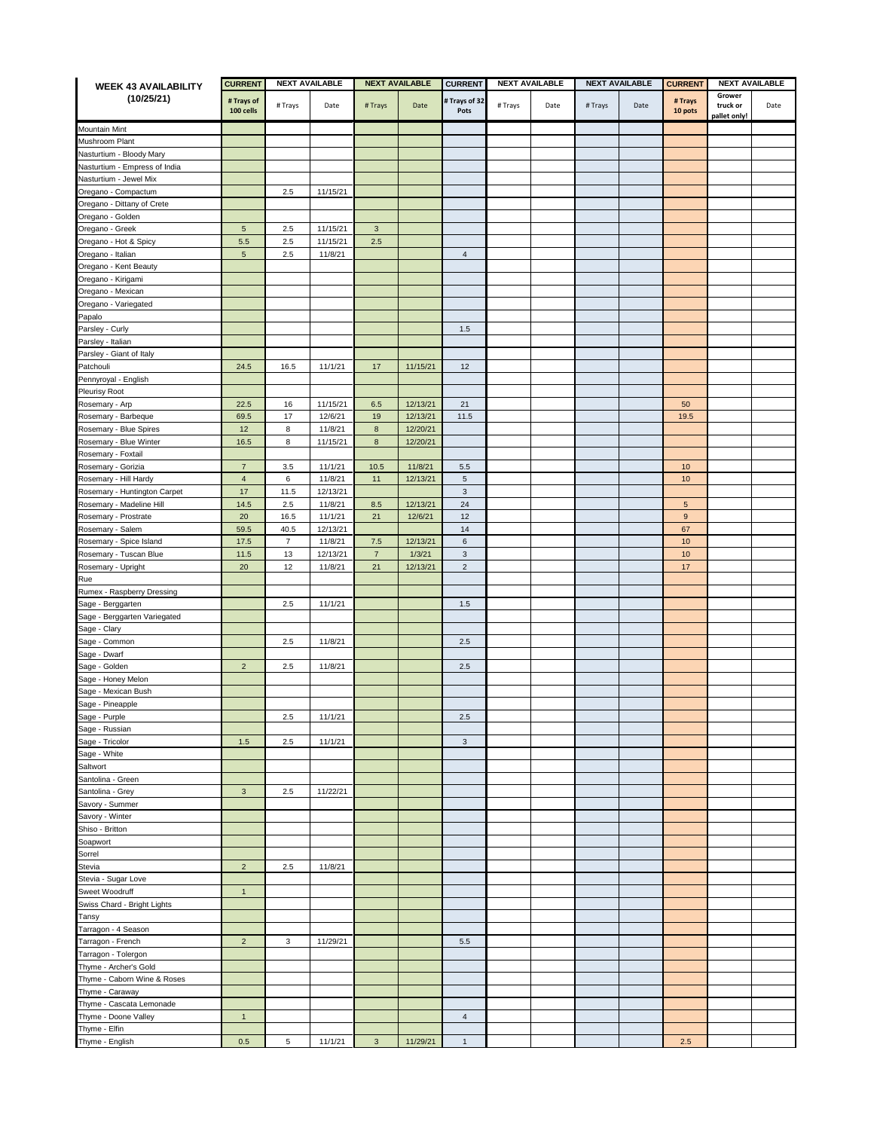| <b>WEEK 43 AVAILABILITY</b>   | <b>CURRENT</b> | <b>NEXT AVAILABLE</b> |          | <b>NEXT AVAILABLE</b> |          | <b>CURRENT</b>            | <b>NEXT AVAILABLE</b> |      | <b>NEXT AVAILABLE</b> |      | <b>CURRENT</b><br><b>NEXT AVAILABLE</b> |                          |      |
|-------------------------------|----------------|-----------------------|----------|-----------------------|----------|---------------------------|-----------------------|------|-----------------------|------|-----------------------------------------|--------------------------|------|
| (10/25/21)                    | # Trays of     |                       |          |                       |          | # Trays of 32             |                       |      |                       |      | # Trays                                 | Grower                   |      |
|                               | 100 cells      | # Trays               | Date     | # Trays               | Date     | Pots                      | # Trays               | Date | # Trays               | Date | 10 pots                                 | truck or<br>pallet only! | Date |
|                               |                |                       |          |                       |          |                           |                       |      |                       |      |                                         |                          |      |
| Mountain Mint                 |                |                       |          |                       |          |                           |                       |      |                       |      |                                         |                          |      |
| Mushroom Plant                |                |                       |          |                       |          |                           |                       |      |                       |      |                                         |                          |      |
| Nasturtium - Bloody Mary      |                |                       |          |                       |          |                           |                       |      |                       |      |                                         |                          |      |
| Vasturtium - Empress of India |                |                       |          |                       |          |                           |                       |      |                       |      |                                         |                          |      |
| Nasturtium - Jewel Mix        |                |                       |          |                       |          |                           |                       |      |                       |      |                                         |                          |      |
| Oregano - Compactum           |                | 2.5                   | 11/15/21 |                       |          |                           |                       |      |                       |      |                                         |                          |      |
| Oregano - Dittany of Crete    |                |                       |          |                       |          |                           |                       |      |                       |      |                                         |                          |      |
| Oregano - Golden              |                |                       |          |                       |          |                           |                       |      |                       |      |                                         |                          |      |
| Oregano - Greek               | $\overline{5}$ | 2.5                   | 11/15/21 | $\mathbf{3}$          |          |                           |                       |      |                       |      |                                         |                          |      |
| Oregano - Hot & Spicy         | 5.5            | $2.5\,$               | 11/15/21 | $2.5\,$               |          |                           |                       |      |                       |      |                                         |                          |      |
| Oregano - Italian             | $\mathbf 5$    | 2.5                   | 11/8/21  |                       |          | $\overline{4}$            |                       |      |                       |      |                                         |                          |      |
| Oregano - Kent Beauty         |                |                       |          |                       |          |                           |                       |      |                       |      |                                         |                          |      |
| Oregano - Kirigami            |                |                       |          |                       |          |                           |                       |      |                       |      |                                         |                          |      |
| Oregano - Mexican             |                |                       |          |                       |          |                           |                       |      |                       |      |                                         |                          |      |
| Oregano - Variegated          |                |                       |          |                       |          |                           |                       |      |                       |      |                                         |                          |      |
| Papalo                        |                |                       |          |                       |          |                           |                       |      |                       |      |                                         |                          |      |
| Parsley - Curly               |                |                       |          |                       |          | $1.5$                     |                       |      |                       |      |                                         |                          |      |
| Parsley - Italian             |                |                       |          |                       |          |                           |                       |      |                       |      |                                         |                          |      |
| Parsley - Giant of Italy      |                |                       |          |                       |          |                           |                       |      |                       |      |                                         |                          |      |
| Patchouli                     | 24.5           | 16.5                  | 11/1/21  | 17                    | 11/15/21 | 12                        |                       |      |                       |      |                                         |                          |      |
| Pennyroyal - English          |                |                       |          |                       |          |                           |                       |      |                       |      |                                         |                          |      |
| Pleurisy Root                 |                |                       |          |                       |          |                           |                       |      |                       |      |                                         |                          |      |
| Rosemary - Arp                | 22.5           | 16                    | 11/15/21 | $6.5\,$               | 12/13/21 | 21                        |                       |      |                       |      | 50                                      |                          |      |
| Rosemary - Barbeque           | 69.5           | 17                    | 12/6/21  | 19                    | 12/13/21 | 11.5                      |                       |      |                       |      | 19.5                                    |                          |      |
| Rosemary - Blue Spires        | 12             | 8                     | 11/8/21  | $\bf8$                | 12/20/21 |                           |                       |      |                       |      |                                         |                          |      |
| Rosemary - Blue Winter        | 16.5           | 8                     | 11/15/21 | $\bf8$                | 12/20/21 |                           |                       |      |                       |      |                                         |                          |      |
| Rosemary - Foxtail            |                |                       |          |                       |          |                           |                       |      |                       |      |                                         |                          |      |
| Rosemary - Gorizia            | $\overline{7}$ | $3.5\,$               | 11/1/21  | $10.5$                | 11/8/21  | $5.5\,$                   |                       |      |                       |      | 10                                      |                          |      |
| Rosemary - Hill Hardy         | $\overline{4}$ | 6                     | 11/8/21  | 11                    | 12/13/21 | $\sqrt{5}$                |                       |      |                       |      | 10                                      |                          |      |
| Rosemary - Huntington Carpet  | 17             | 11.5                  | 12/13/21 |                       |          | $\mathsf 3$               |                       |      |                       |      |                                         |                          |      |
| Rosemary - Madeline Hill      | 14.5           | 2.5                   | 11/8/21  | 8.5                   | 12/13/21 | 24                        |                       |      |                       |      | 5                                       |                          |      |
| Rosemary - Prostrate          | 20             | 16.5                  | 11/1/21  | 21                    | 12/6/21  | 12                        |                       |      |                       |      | $\boldsymbol{9}$                        |                          |      |
| Rosemary - Salem              | 59.5           | 40.5                  | 12/13/21 |                       |          | 14                        |                       |      |                       |      | 67                                      |                          |      |
| Rosemary - Spice Island       | 17.5           | 7                     | 11/8/21  | 7.5                   | 12/13/21 | 6                         |                       |      |                       |      | 10                                      |                          |      |
| Rosemary - Tuscan Blue        | 11.5           | 13                    | 12/13/21 | $\overline{7}$        | 1/3/21   | $\ensuremath{\mathsf{3}}$ |                       |      |                       |      | 10                                      |                          |      |
| Rosemary - Upright            | 20             | 12                    | 11/8/21  | 21                    | 12/13/21 | $\overline{c}$            |                       |      |                       |      | 17                                      |                          |      |
|                               |                |                       |          |                       |          |                           |                       |      |                       |      |                                         |                          |      |
| Rue                           |                |                       |          |                       |          |                           |                       |      |                       |      |                                         |                          |      |
| Rumex - Raspberry Dressing    |                |                       |          |                       |          |                           |                       |      |                       |      |                                         |                          |      |
| Sage - Berggarten             |                | 2.5                   | 11/1/21  |                       |          | $1.5\,$                   |                       |      |                       |      |                                         |                          |      |
| Sage - Berggarten Variegated  |                |                       |          |                       |          |                           |                       |      |                       |      |                                         |                          |      |
| Sage - Clary                  |                |                       |          |                       |          |                           |                       |      |                       |      |                                         |                          |      |
| Sage - Common                 |                | 2.5                   | 11/8/21  |                       |          | $2.5\,$                   |                       |      |                       |      |                                         |                          |      |
| Sage - Dwarf                  |                |                       |          |                       |          |                           |                       |      |                       |      |                                         |                          |      |
| Sage - Golden                 | $\overline{c}$ | 2.5                   | 11/8/21  |                       |          | 2.5                       |                       |      |                       |      |                                         |                          |      |
| Sage - Honey Melon            |                |                       |          |                       |          |                           |                       |      |                       |      |                                         |                          |      |
| Sage - Mexican Bush           |                |                       |          |                       |          |                           |                       |      |                       |      |                                         |                          |      |
| Sage - Pineapple              |                |                       |          |                       |          |                           |                       |      |                       |      |                                         |                          |      |
| Sage - Purple                 |                | $2.5\,$               | 11/1/21  |                       |          | $2.5\,$                   |                       |      |                       |      |                                         |                          |      |
| Sage - Russian                |                |                       |          |                       |          |                           |                       |      |                       |      |                                         |                          |      |
| Sage - Tricolor               | 1.5            | 2.5                   | 11/1/21  |                       |          | $\mathbf{3}$              |                       |      |                       |      |                                         |                          |      |
| Sage - White                  |                |                       |          |                       |          |                           |                       |      |                       |      |                                         |                          |      |
| Saltwort                      |                |                       |          |                       |          |                           |                       |      |                       |      |                                         |                          |      |
| Santolina - Green             |                |                       |          |                       |          |                           |                       |      |                       |      |                                         |                          |      |
| Santolina - Grey              | $\mathbf{3}$   | 2.5                   | 11/22/21 |                       |          |                           |                       |      |                       |      |                                         |                          |      |
| Savory - Summer               |                |                       |          |                       |          |                           |                       |      |                       |      |                                         |                          |      |
| Savory - Winter               |                |                       |          |                       |          |                           |                       |      |                       |      |                                         |                          |      |
| Shiso - Britton               |                |                       |          |                       |          |                           |                       |      |                       |      |                                         |                          |      |
| Soapwort                      |                |                       |          |                       |          |                           |                       |      |                       |      |                                         |                          |      |
| Sorrel                        |                |                       |          |                       |          |                           |                       |      |                       |      |                                         |                          |      |
| Stevia                        | $\overline{2}$ | 2.5                   | 11/8/21  |                       |          |                           |                       |      |                       |      |                                         |                          |      |
| Stevia - Sugar Love           |                |                       |          |                       |          |                           |                       |      |                       |      |                                         |                          |      |
| Sweet Woodruff                | $\mathbf{1}$   |                       |          |                       |          |                           |                       |      |                       |      |                                         |                          |      |
| Swiss Chard - Bright Lights   |                |                       |          |                       |          |                           |                       |      |                       |      |                                         |                          |      |
|                               |                |                       |          |                       |          |                           |                       |      |                       |      |                                         |                          |      |
| Tansy                         |                |                       |          |                       |          |                           |                       |      |                       |      |                                         |                          |      |
| Tarragon - 4 Season           |                |                       |          |                       |          |                           |                       |      |                       |      |                                         |                          |      |
| Tarragon - French             | $\overline{2}$ | 3                     | 11/29/21 |                       |          | 5.5                       |                       |      |                       |      |                                         |                          |      |
| Tarragon - Tolergon           |                |                       |          |                       |          |                           |                       |      |                       |      |                                         |                          |      |
| Thyme - Archer's Gold         |                |                       |          |                       |          |                           |                       |      |                       |      |                                         |                          |      |
| Thyme - Caborn Wine & Roses   |                |                       |          |                       |          |                           |                       |      |                       |      |                                         |                          |      |
| Thyme - Caraway               |                |                       |          |                       |          |                           |                       |      |                       |      |                                         |                          |      |
| Thyme - Cascata Lemonade      |                |                       |          |                       |          |                           |                       |      |                       |      |                                         |                          |      |
| Thyme - Doone Valley          | $\mathbf{1}$   |                       |          |                       |          | $\overline{4}$            |                       |      |                       |      |                                         |                          |      |
| Thyme - Elfin                 |                |                       |          |                       |          |                           |                       |      |                       |      |                                         |                          |      |
| Thyme - English               | 0.5            | 5                     | 11/1/21  | $\mathbf{3}$          | 11/29/21 | $\mathbf{1}$              |                       |      |                       |      | 2.5                                     |                          |      |